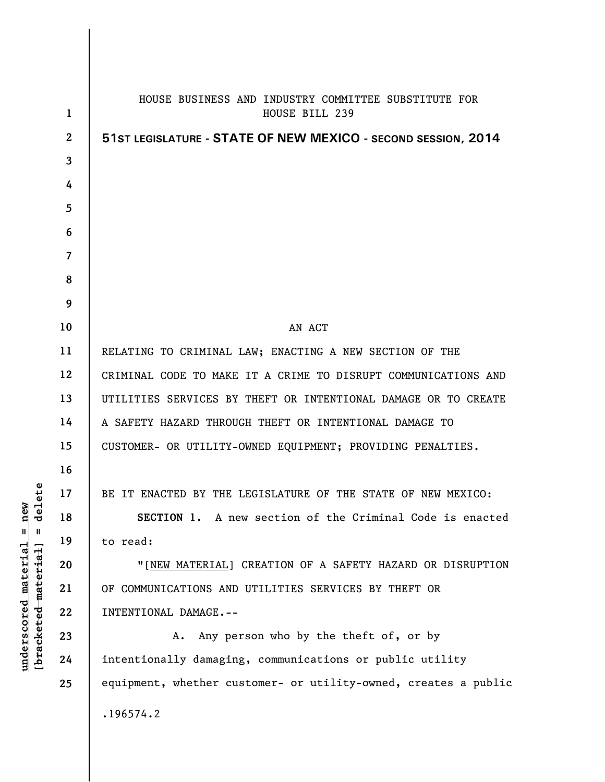| $\mathbf{1}$   | HOUSE BUSINESS AND INDUSTRY COMMITTEE SUBSTITUTE FOR<br>HOUSE BILL 239 |
|----------------|------------------------------------------------------------------------|
| $\overline{2}$ | 51ST LEGISLATURE - STATE OF NEW MEXICO - SECOND SESSION, 2014          |
| 3              |                                                                        |
| 4              |                                                                        |
| 5              |                                                                        |
| 6              |                                                                        |
| $\overline{7}$ |                                                                        |
| 8              |                                                                        |
| 9              |                                                                        |
| 10             | AN ACT                                                                 |
| 11             | RELATING TO CRIMINAL LAW; ENACTING A NEW SECTION OF THE                |
| 12             | CRIMINAL CODE TO MAKE IT A CRIME TO DISRUPT COMMUNICATIONS AND         |
| 13             | UTILITIES SERVICES BY THEFT OR INTENTIONAL DAMAGE OR TO CREATE         |
| 14             | A SAFETY HAZARD THROUGH THEFT OR INTENTIONAL DAMAGE TO                 |
| 15             | CUSTOMER- OR UTILITY-OWNED EQUIPMENT; PROVIDING PENALTIES.             |
| 16             |                                                                        |
| 17             | BE IT ENACTED BY THE LEGISLATURE OF THE STATE OF NEW MEXICO:           |
| 18             | SECTION 1. A new section of the Criminal Code is enacted               |
| 19             | to read:                                                               |
| 20             | "[NEW MATERIAL] CREATION OF A SAFETY HAZARD OR DISRUPTION              |
| 21             | OF COMMUNICATIONS AND UTILITIES SERVICES BY THEFT OR                   |
| 22             | INTENTIONAL DAMAGE.--                                                  |
| 23             | Any person who by the theft of, or by<br>А.                            |
| 24             | intentionally damaging, communications or public utility               |
| 25             | equipment, whether customer- or utility-owned, creates a public        |
|                | .196574.2                                                              |
|                |                                                                        |

**underscored material = new [bracketed material] = delete**

 $[bracketeed-materiat] = delete$  $underscored material = new$